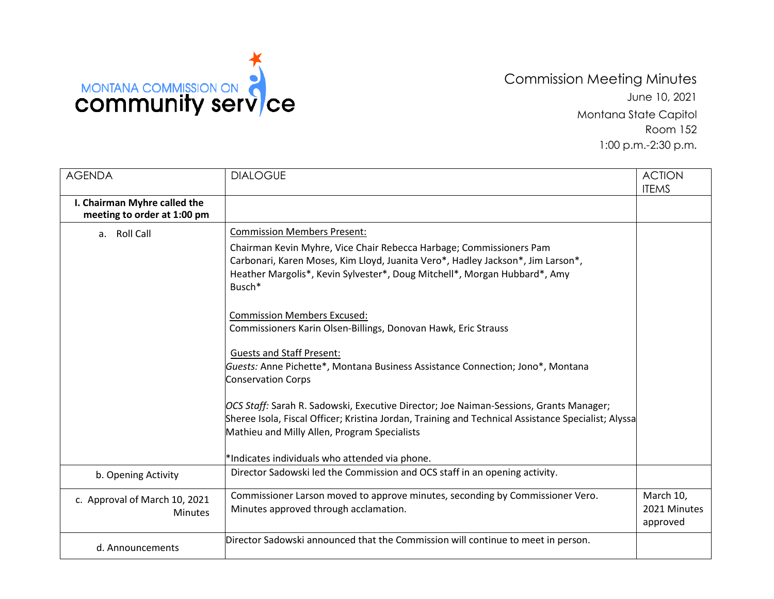

## Commission Meeting Minutes June 10, 2021 Montana State Capitol Room 152 1:00 p.m.-2:30 p.m.

| <b>AGENDA</b>                                               | <b>DIALOGUE</b>                                                                                                                                                                                                                                                                                                                                                                                                                                                                                                                                                                                                                                                                                                                                                                                 | <b>ACTION</b><br><b>ITEMS</b>         |
|-------------------------------------------------------------|-------------------------------------------------------------------------------------------------------------------------------------------------------------------------------------------------------------------------------------------------------------------------------------------------------------------------------------------------------------------------------------------------------------------------------------------------------------------------------------------------------------------------------------------------------------------------------------------------------------------------------------------------------------------------------------------------------------------------------------------------------------------------------------------------|---------------------------------------|
| I. Chairman Myhre called the<br>meeting to order at 1:00 pm |                                                                                                                                                                                                                                                                                                                                                                                                                                                                                                                                                                                                                                                                                                                                                                                                 |                                       |
| a. Roll Call                                                | <b>Commission Members Present:</b><br>Chairman Kevin Myhre, Vice Chair Rebecca Harbage; Commissioners Pam<br>Carbonari, Karen Moses, Kim Lloyd, Juanita Vero*, Hadley Jackson*, Jim Larson*,<br>Heather Margolis*, Kevin Sylvester*, Doug Mitchell*, Morgan Hubbard*, Amy<br>Busch*<br><b>Commission Members Excused:</b><br>Commissioners Karin Olsen-Billings, Donovan Hawk, Eric Strauss<br><b>Guests and Staff Present:</b><br>Guests: Anne Pichette*, Montana Business Assistance Connection; Jono*, Montana<br><b>Conservation Corps</b><br>OCS Staff: Sarah R. Sadowski, Executive Director; Joe Naiman-Sessions, Grants Manager;<br>Sheree Isola, Fiscal Officer; Kristina Jordan, Training and Technical Assistance Specialist; Alyssa<br>Mathieu and Milly Allen, Program Specialists |                                       |
|                                                             | *Indicates individuals who attended via phone.<br>Director Sadowski led the Commission and OCS staff in an opening activity.                                                                                                                                                                                                                                                                                                                                                                                                                                                                                                                                                                                                                                                                    |                                       |
| b. Opening Activity                                         |                                                                                                                                                                                                                                                                                                                                                                                                                                                                                                                                                                                                                                                                                                                                                                                                 |                                       |
| c. Approval of March 10, 2021<br><b>Minutes</b>             | Commissioner Larson moved to approve minutes, seconding by Commissioner Vero.<br>Minutes approved through acclamation.                                                                                                                                                                                                                                                                                                                                                                                                                                                                                                                                                                                                                                                                          | March 10,<br>2021 Minutes<br>approved |
| d. Announcements                                            | Director Sadowski announced that the Commission will continue to meet in person.                                                                                                                                                                                                                                                                                                                                                                                                                                                                                                                                                                                                                                                                                                                |                                       |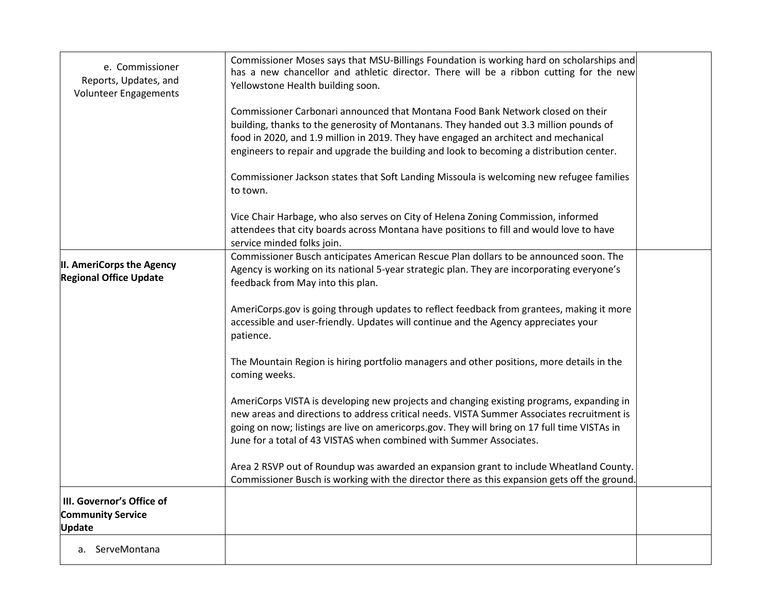| e. Commissioner<br>Reports, Updates, and<br>Volunteer Engagements      | Commissioner Moses says that MSU-Billings Foundation is working hard on scholarships and<br>has a new chancellor and athletic director. There will be a ribbon cutting for the new<br>Yellowstone Health building soon.                                                                                                                                       |  |
|------------------------------------------------------------------------|---------------------------------------------------------------------------------------------------------------------------------------------------------------------------------------------------------------------------------------------------------------------------------------------------------------------------------------------------------------|--|
|                                                                        | Commissioner Carbonari announced that Montana Food Bank Network closed on their<br>building, thanks to the generosity of Montanans. They handed out 3.3 million pounds of                                                                                                                                                                                     |  |
|                                                                        | food in 2020, and 1.9 million in 2019. They have engaged an architect and mechanical<br>engineers to repair and upgrade the building and look to becoming a distribution center.                                                                                                                                                                              |  |
|                                                                        | Commissioner Jackson states that Soft Landing Missoula is welcoming new refugee families<br>to town.                                                                                                                                                                                                                                                          |  |
|                                                                        | Vice Chair Harbage, who also serves on City of Helena Zoning Commission, informed<br>attendees that city boards across Montana have positions to fill and would love to have<br>service minded folks join.                                                                                                                                                    |  |
| II. AmeriCorps the Agency<br><b>Regional Office Update</b>             | Commissioner Busch anticipates American Rescue Plan dollars to be announced soon. The<br>Agency is working on its national 5-year strategic plan. They are incorporating everyone's<br>feedback from May into this plan.                                                                                                                                      |  |
|                                                                        | AmeriCorps.gov is going through updates to reflect feedback from grantees, making it more<br>accessible and user-friendly. Updates will continue and the Agency appreciates your<br>patience.                                                                                                                                                                 |  |
|                                                                        | The Mountain Region is hiring portfolio managers and other positions, more details in the<br>coming weeks.                                                                                                                                                                                                                                                    |  |
|                                                                        | AmeriCorps VISTA is developing new projects and changing existing programs, expanding in<br>new areas and directions to address critical needs. VISTA Summer Associates recruitment is<br>going on now; listings are live on americorps.gov. They will bring on 17 full time VISTAs in<br>June for a total of 43 VISTAS when combined with Summer Associates. |  |
|                                                                        | Area 2 RSVP out of Roundup was awarded an expansion grant to include Wheatland County.<br>Commissioner Busch is working with the director there as this expansion gets off the ground.                                                                                                                                                                        |  |
| III. Governor's Office of<br><b>Community Service</b><br><b>Update</b> |                                                                                                                                                                                                                                                                                                                                                               |  |
| a. ServeMontana                                                        |                                                                                                                                                                                                                                                                                                                                                               |  |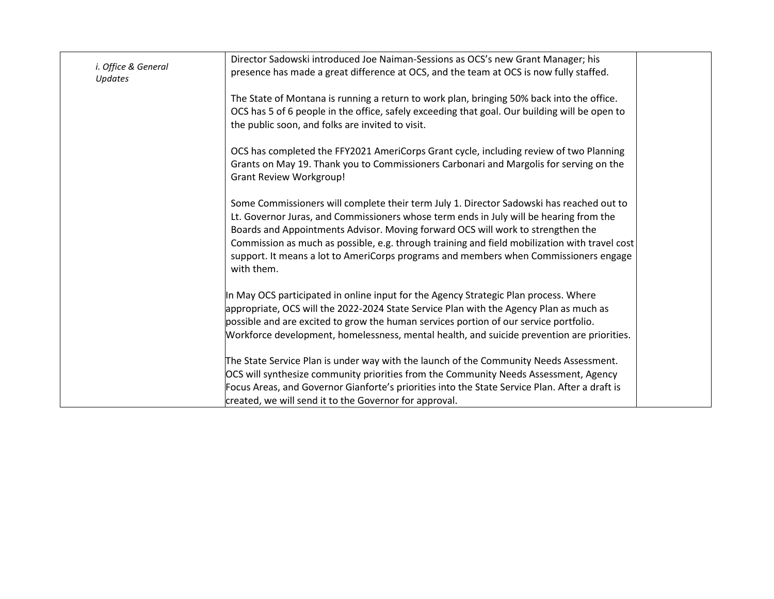| i. Office & General<br>Updates | Director Sadowski introduced Joe Naiman-Sessions as OCS's new Grant Manager; his<br>presence has made a great difference at OCS, and the team at OCS is now fully staffed.                                                                                                                                                                                                                                                                                                   |
|--------------------------------|------------------------------------------------------------------------------------------------------------------------------------------------------------------------------------------------------------------------------------------------------------------------------------------------------------------------------------------------------------------------------------------------------------------------------------------------------------------------------|
|                                | The State of Montana is running a return to work plan, bringing 50% back into the office.<br>OCS has 5 of 6 people in the office, safely exceeding that goal. Our building will be open to<br>the public soon, and folks are invited to visit.                                                                                                                                                                                                                               |
|                                | OCS has completed the FFY2021 AmeriCorps Grant cycle, including review of two Planning<br>Grants on May 19. Thank you to Commissioners Carbonari and Margolis for serving on the<br><b>Grant Review Workgroup!</b>                                                                                                                                                                                                                                                           |
|                                | Some Commissioners will complete their term July 1. Director Sadowski has reached out to<br>Lt. Governor Juras, and Commissioners whose term ends in July will be hearing from the<br>Boards and Appointments Advisor. Moving forward OCS will work to strengthen the<br>Commission as much as possible, e.g. through training and field mobilization with travel cost<br>support. It means a lot to AmeriCorps programs and members when Commissioners engage<br>with them. |
|                                | In May OCS participated in online input for the Agency Strategic Plan process. Where<br>appropriate, OCS will the 2022-2024 State Service Plan with the Agency Plan as much as<br>possible and are excited to grow the human services portion of our service portfolio.<br>Workforce development, homelessness, mental health, and suicide prevention are priorities.                                                                                                        |
|                                | The State Service Plan is under way with the launch of the Community Needs Assessment.<br>OCS will synthesize community priorities from the Community Needs Assessment, Agency<br>Focus Areas, and Governor Gianforte's priorities into the State Service Plan. After a draft is<br>created, we will send it to the Governor for approval.                                                                                                                                   |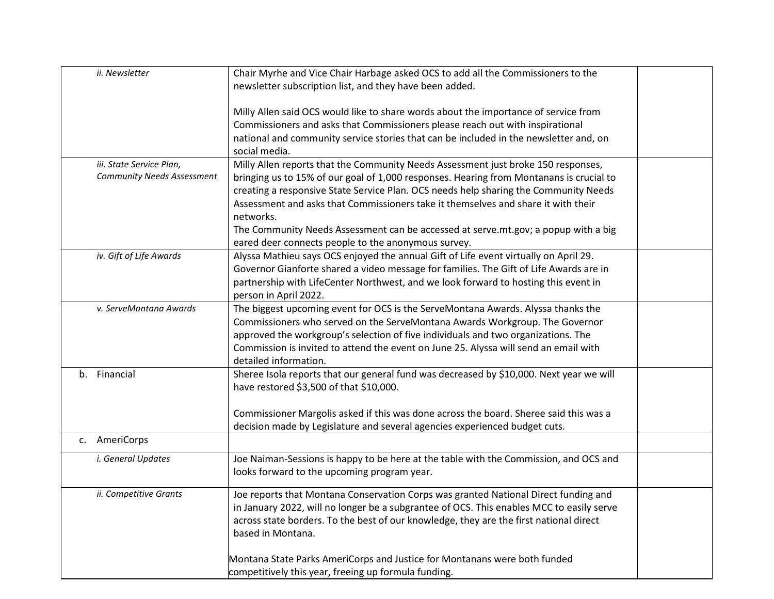| ii. Newsletter                    | Chair Myrhe and Vice Chair Harbage asked OCS to add all the Commissioners to the                                                                                                                                                                                                                                                  |  |
|-----------------------------------|-----------------------------------------------------------------------------------------------------------------------------------------------------------------------------------------------------------------------------------------------------------------------------------------------------------------------------------|--|
|                                   | newsletter subscription list, and they have been added.                                                                                                                                                                                                                                                                           |  |
|                                   |                                                                                                                                                                                                                                                                                                                                   |  |
|                                   | Milly Allen said OCS would like to share words about the importance of service from                                                                                                                                                                                                                                               |  |
|                                   | Commissioners and asks that Commissioners please reach out with inspirational                                                                                                                                                                                                                                                     |  |
|                                   | national and community service stories that can be included in the newsletter and, on                                                                                                                                                                                                                                             |  |
|                                   | social media.                                                                                                                                                                                                                                                                                                                     |  |
| iii. State Service Plan,          |                                                                                                                                                                                                                                                                                                                                   |  |
| <b>Community Needs Assessment</b> | Milly Allen reports that the Community Needs Assessment just broke 150 responses,                                                                                                                                                                                                                                                 |  |
|                                   | bringing us to 15% of our goal of 1,000 responses. Hearing from Montanans is crucial to                                                                                                                                                                                                                                           |  |
|                                   | creating a responsive State Service Plan. OCS needs help sharing the Community Needs                                                                                                                                                                                                                                              |  |
|                                   | Assessment and asks that Commissioners take it themselves and share it with their                                                                                                                                                                                                                                                 |  |
|                                   | networks.                                                                                                                                                                                                                                                                                                                         |  |
|                                   | The Community Needs Assessment can be accessed at serve.mt.gov; a popup with a big                                                                                                                                                                                                                                                |  |
|                                   | eared deer connects people to the anonymous survey.                                                                                                                                                                                                                                                                               |  |
| iv. Gift of Life Awards           | Alyssa Mathieu says OCS enjoyed the annual Gift of Life event virtually on April 29.                                                                                                                                                                                                                                              |  |
|                                   | Governor Gianforte shared a video message for families. The Gift of Life Awards are in                                                                                                                                                                                                                                            |  |
|                                   | partnership with LifeCenter Northwest, and we look forward to hosting this event in                                                                                                                                                                                                                                               |  |
|                                   | person in April 2022.                                                                                                                                                                                                                                                                                                             |  |
| v. ServeMontana Awards            |                                                                                                                                                                                                                                                                                                                                   |  |
|                                   | The biggest upcoming event for OCS is the ServeMontana Awards. Alyssa thanks the                                                                                                                                                                                                                                                  |  |
|                                   | Commissioners who served on the ServeMontana Awards Workgroup. The Governor                                                                                                                                                                                                                                                       |  |
|                                   | approved the workgroup's selection of five individuals and two organizations. The                                                                                                                                                                                                                                                 |  |
|                                   | Commission is invited to attend the event on June 25. Alyssa will send an email with                                                                                                                                                                                                                                              |  |
|                                   | detailed information.                                                                                                                                                                                                                                                                                                             |  |
| b. Financial                      | Sheree Isola reports that our general fund was decreased by \$10,000. Next year we will                                                                                                                                                                                                                                           |  |
|                                   | have restored \$3,500 of that \$10,000.                                                                                                                                                                                                                                                                                           |  |
|                                   |                                                                                                                                                                                                                                                                                                                                   |  |
|                                   | Commissioner Margolis asked if this was done across the board. Sheree said this was a                                                                                                                                                                                                                                             |  |
|                                   | decision made by Legislature and several agencies experienced budget cuts.                                                                                                                                                                                                                                                        |  |
| c. AmeriCorps                     |                                                                                                                                                                                                                                                                                                                                   |  |
|                                   |                                                                                                                                                                                                                                                                                                                                   |  |
| i. General Updates                | Joe Naiman-Sessions is happy to be here at the table with the Commission, and OCS and                                                                                                                                                                                                                                             |  |
|                                   | looks forward to the upcoming program year.                                                                                                                                                                                                                                                                                       |  |
|                                   |                                                                                                                                                                                                                                                                                                                                   |  |
|                                   |                                                                                                                                                                                                                                                                                                                                   |  |
|                                   |                                                                                                                                                                                                                                                                                                                                   |  |
|                                   |                                                                                                                                                                                                                                                                                                                                   |  |
|                                   | based in Montana.                                                                                                                                                                                                                                                                                                                 |  |
|                                   |                                                                                                                                                                                                                                                                                                                                   |  |
|                                   | Montana State Parks AmeriCorps and Justice for Montanans were both funded                                                                                                                                                                                                                                                         |  |
|                                   |                                                                                                                                                                                                                                                                                                                                   |  |
| ii. Competitive Grants            | Joe reports that Montana Conservation Corps was granted National Direct funding and<br>in January 2022, will no longer be a subgrantee of OCS. This enables MCC to easily serve<br>across state borders. To the best of our knowledge, they are the first national direct<br>competitively this year, freeing up formula funding. |  |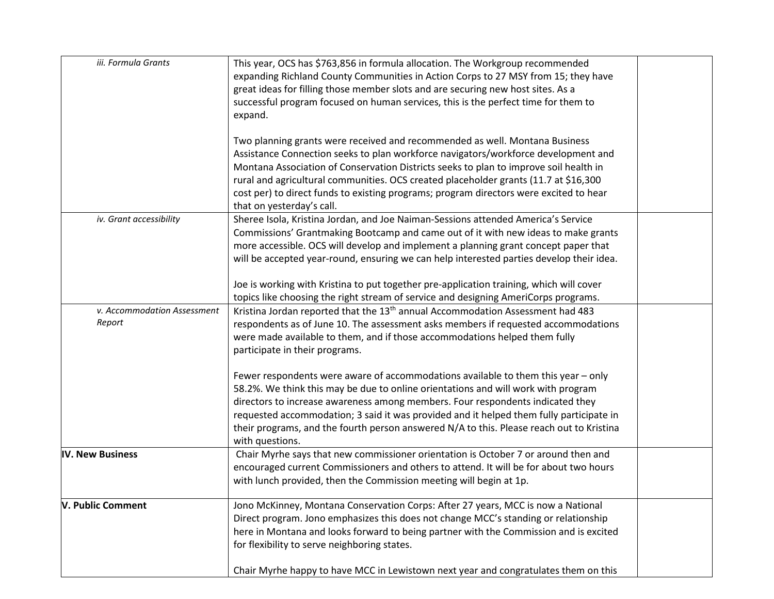| iii. Formula Grants                   | This year, OCS has \$763,856 in formula allocation. The Workgroup recommended<br>expanding Richland County Communities in Action Corps to 27 MSY from 15; they have<br>great ideas for filling those member slots and are securing new host sites. As a<br>successful program focused on human services, this is the perfect time for them to<br>expand.<br>Two planning grants were received and recommended as well. Montana Business<br>Assistance Connection seeks to plan workforce navigators/workforce development and<br>Montana Association of Conservation Districts seeks to plan to improve soil health in |  |
|---------------------------------------|------------------------------------------------------------------------------------------------------------------------------------------------------------------------------------------------------------------------------------------------------------------------------------------------------------------------------------------------------------------------------------------------------------------------------------------------------------------------------------------------------------------------------------------------------------------------------------------------------------------------|--|
|                                       | rural and agricultural communities. OCS created placeholder grants (11.7 at \$16,300<br>cost per) to direct funds to existing programs; program directors were excited to hear<br>that on yesterday's call.                                                                                                                                                                                                                                                                                                                                                                                                            |  |
| iv. Grant accessibility               | Sheree Isola, Kristina Jordan, and Joe Naiman-Sessions attended America's Service<br>Commissions' Grantmaking Bootcamp and came out of it with new ideas to make grants<br>more accessible. OCS will develop and implement a planning grant concept paper that<br>will be accepted year-round, ensuring we can help interested parties develop their idea.<br>Joe is working with Kristina to put together pre-application training, which will cover                                                                                                                                                                  |  |
|                                       | topics like choosing the right stream of service and designing AmeriCorps programs.                                                                                                                                                                                                                                                                                                                                                                                                                                                                                                                                    |  |
| v. Accommodation Assessment<br>Report | Kristina Jordan reported that the 13 <sup>th</sup> annual Accommodation Assessment had 483<br>respondents as of June 10. The assessment asks members if requested accommodations<br>were made available to them, and if those accommodations helped them fully<br>participate in their programs.                                                                                                                                                                                                                                                                                                                       |  |
|                                       | Fewer respondents were aware of accommodations available to them this year - only<br>58.2%. We think this may be due to online orientations and will work with program<br>directors to increase awareness among members. Four respondents indicated they<br>requested accommodation; 3 said it was provided and it helped them fully participate in<br>their programs, and the fourth person answered N/A to this. Please reach out to Kristina<br>with questions.                                                                                                                                                     |  |
| <b>IV. New Business</b>               | Chair Myrhe says that new commissioner orientation is October 7 or around then and<br>encouraged current Commissioners and others to attend. It will be for about two hours<br>with lunch provided, then the Commission meeting will begin at 1p.                                                                                                                                                                                                                                                                                                                                                                      |  |
| V. Public Comment                     | Jono McKinney, Montana Conservation Corps: After 27 years, MCC is now a National<br>Direct program. Jono emphasizes this does not change MCC's standing or relationship<br>here in Montana and looks forward to being partner with the Commission and is excited<br>for flexibility to serve neighboring states.                                                                                                                                                                                                                                                                                                       |  |
|                                       | Chair Myrhe happy to have MCC in Lewistown next year and congratulates them on this                                                                                                                                                                                                                                                                                                                                                                                                                                                                                                                                    |  |